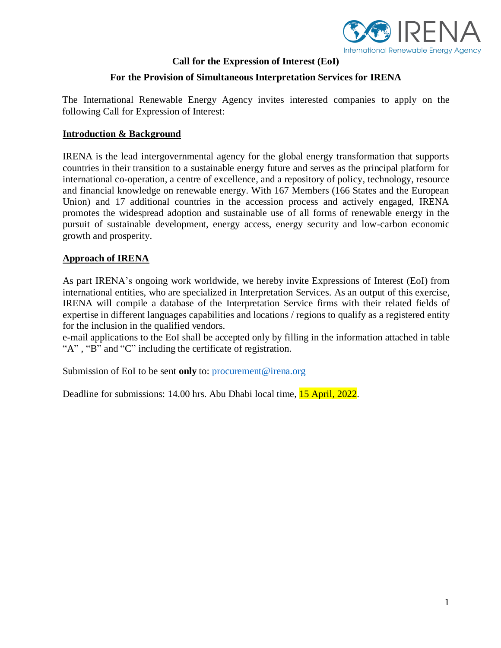

## **Call for the Expression of Interest (EoI)**

# **For the Provision of Simultaneous Interpretation Services for IRENA**

The International Renewable Energy Agency invites interested companies to apply on the following Call for Expression of Interest:

#### **Introduction & Background**

IRENA is the lead intergovernmental agency for the global energy transformation that supports countries in their transition to a sustainable energy future and serves as the principal platform for international co-operation, a centre of excellence, and a repository of policy, technology, resource and financial knowledge on renewable energy. With 167 Members (166 States and the European Union) and 17 additional countries in the accession process and actively engaged, IRENA promotes the widespread adoption and sustainable use of all forms of renewable energy in the pursuit of sustainable development, energy access, energy security and low-carbon economic growth and prosperity.

## **Approach of IRENA**

As part IRENA's ongoing work worldwide, we hereby invite Expressions of Interest (EoI) from international entities, who are specialized in Interpretation Services. As an output of this exercise, IRENA will compile a database of the Interpretation Service firms with their related fields of expertise in different languages capabilities and locations / regions to qualify as a registered entity for the inclusion in the qualified vendors.

e-mail applications to the EoI shall be accepted only by filling in the information attached in table "A", "B" and "C" including the certificate of registration.

Submission of EoI to be sent **only** to[: procurement@irena.org](mailto:procurement@irena.org)

Deadline for submissions: 14.00 hrs. Abu Dhabi local time, 15 April, 2022.